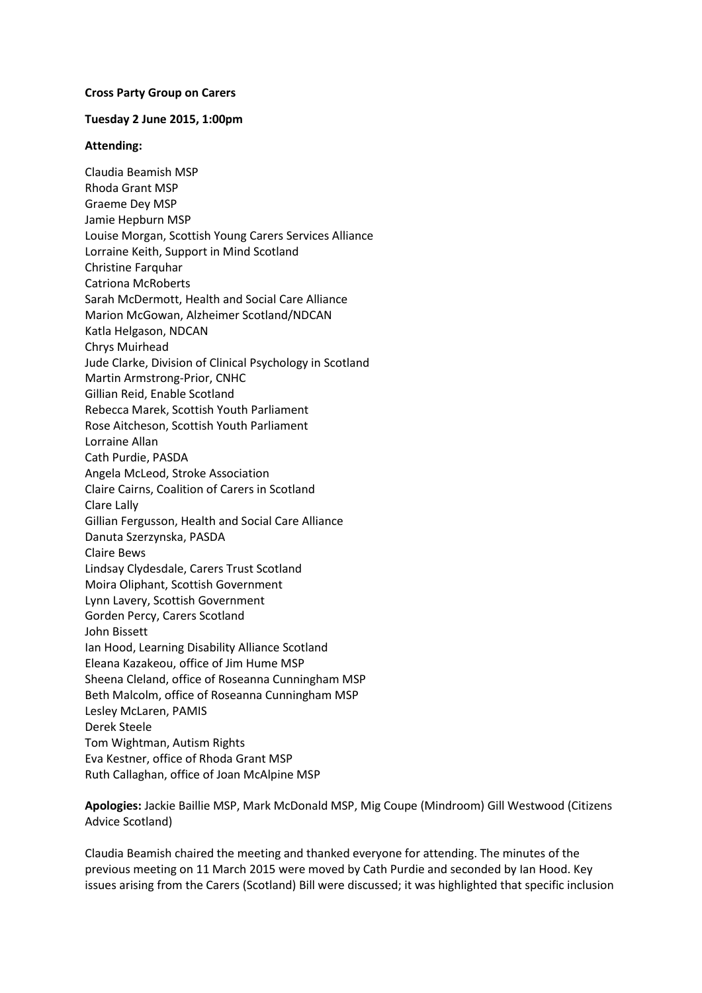## **Cross Party Group on Carers**

## **Tuesday 2 June 2015, 1:00pm**

## **Attending:**

Claudia Beamish MSP Rhoda Grant MSP Graeme Dey MSP Jamie Hepburn MSP Louise Morgan, Scottish Young Carers Services Alliance Lorraine Keith, Support in Mind Scotland Christine Farquhar Catriona McRoberts Sarah McDermott, Health and Social Care Alliance Marion McGowan, Alzheimer Scotland/NDCAN Katla Helgason, NDCAN Chrys Muirhead Jude Clarke, Division of Clinical Psychology in Scotland Martin Armstrong-Prior, CNHC Gillian Reid, Enable Scotland Rebecca Marek, Scottish Youth Parliament Rose Aitcheson, Scottish Youth Parliament Lorraine Allan Cath Purdie, PASDA Angela McLeod, Stroke Association Claire Cairns, Coalition of Carers in Scotland Clare Lally Gillian Fergusson, Health and Social Care Alliance Danuta Szerzynska, PASDA Claire Bews Lindsay Clydesdale, Carers Trust Scotland Moira Oliphant, Scottish Government Lynn Lavery, Scottish Government Gorden Percy, Carers Scotland John Bissett Ian Hood, Learning Disability Alliance Scotland Eleana Kazakeou, office of Jim Hume MSP Sheena Cleland, office of Roseanna Cunningham MSP Beth Malcolm, office of Roseanna Cunningham MSP Lesley McLaren, PAMIS Derek Steele Tom Wightman, Autism Rights Eva Kestner, office of Rhoda Grant MSP Ruth Callaghan, office of Joan McAlpine MSP

**Apologies:** Jackie Baillie MSP, Mark McDonald MSP, Mig Coupe (Mindroom) Gill Westwood (Citizens Advice Scotland)

Claudia Beamish chaired the meeting and thanked everyone for attending. The minutes of the previous meeting on 11 March 2015 were moved by Cath Purdie and seconded by Ian Hood. Key issues arising from the Carers (Scotland) Bill were discussed; it was highlighted that specific inclusion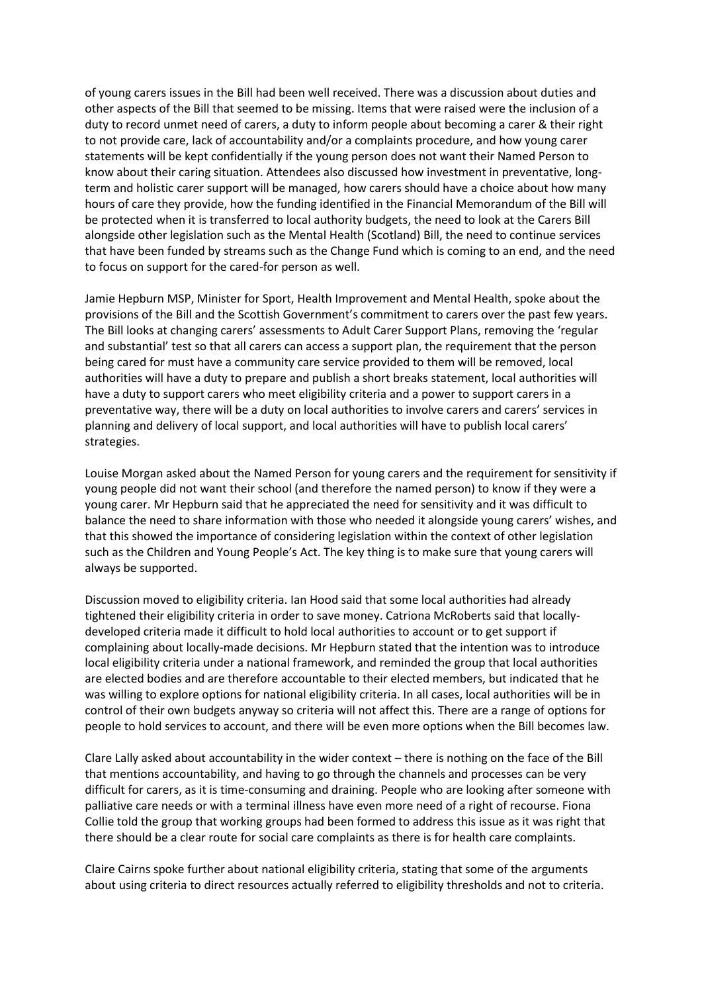of young carers issues in the Bill had been well received. There was a discussion about duties and other aspects of the Bill that seemed to be missing. Items that were raised were the inclusion of a duty to record unmet need of carers, a duty to inform people about becoming a carer & their right to not provide care, lack of accountability and/or a complaints procedure, and how young carer statements will be kept confidentially if the young person does not want their Named Person to know about their caring situation. Attendees also discussed how investment in preventative, longterm and holistic carer support will be managed, how carers should have a choice about how many hours of care they provide, how the funding identified in the Financial Memorandum of the Bill will be protected when it is transferred to local authority budgets, the need to look at the Carers Bill alongside other legislation such as the Mental Health (Scotland) Bill, the need to continue services that have been funded by streams such as the Change Fund which is coming to an end, and the need to focus on support for the cared-for person as well.

Jamie Hepburn MSP, Minister for Sport, Health Improvement and Mental Health, spoke about the provisions of the Bill and the Scottish Government's commitment to carers over the past few years. The Bill looks at changing carers' assessments to Adult Carer Support Plans, removing the 'regular and substantial' test so that all carers can access a support plan, the requirement that the person being cared for must have a community care service provided to them will be removed, local authorities will have a duty to prepare and publish a short breaks statement, local authorities will have a duty to support carers who meet eligibility criteria and a power to support carers in a preventative way, there will be a duty on local authorities to involve carers and carers' services in planning and delivery of local support, and local authorities will have to publish local carers' strategies.

Louise Morgan asked about the Named Person for young carers and the requirement for sensitivity if young people did not want their school (and therefore the named person) to know if they were a young carer. Mr Hepburn said that he appreciated the need for sensitivity and it was difficult to balance the need to share information with those who needed it alongside young carers' wishes, and that this showed the importance of considering legislation within the context of other legislation such as the Children and Young People's Act. The key thing is to make sure that young carers will always be supported.

Discussion moved to eligibility criteria. Ian Hood said that some local authorities had already tightened their eligibility criteria in order to save money. Catriona McRoberts said that locallydeveloped criteria made it difficult to hold local authorities to account or to get support if complaining about locally-made decisions. Mr Hepburn stated that the intention was to introduce local eligibility criteria under a national framework, and reminded the group that local authorities are elected bodies and are therefore accountable to their elected members, but indicated that he was willing to explore options for national eligibility criteria. In all cases, local authorities will be in control of their own budgets anyway so criteria will not affect this. There are a range of options for people to hold services to account, and there will be even more options when the Bill becomes law.

Clare Lally asked about accountability in the wider context – there is nothing on the face of the Bill that mentions accountability, and having to go through the channels and processes can be very difficult for carers, as it is time-consuming and draining. People who are looking after someone with palliative care needs or with a terminal illness have even more need of a right of recourse. Fiona Collie told the group that working groups had been formed to address this issue as it was right that there should be a clear route for social care complaints as there is for health care complaints.

Claire Cairns spoke further about national eligibility criteria, stating that some of the arguments about using criteria to direct resources actually referred to eligibility thresholds and not to criteria.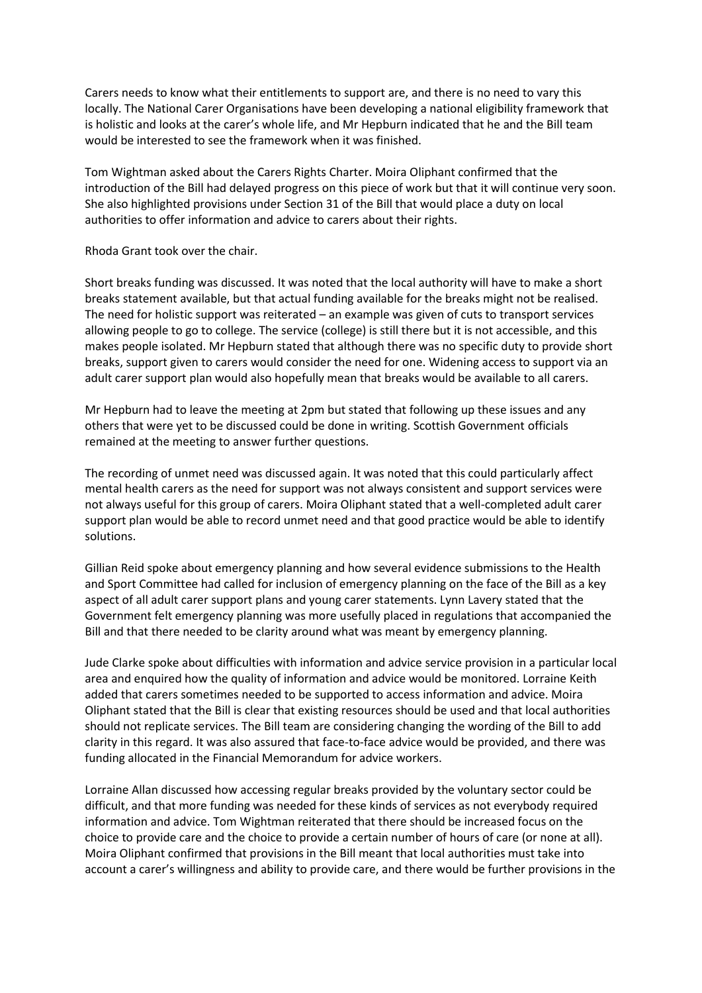Carers needs to know what their entitlements to support are, and there is no need to vary this locally. The National Carer Organisations have been developing a national eligibility framework that is holistic and looks at the carer's whole life, and Mr Hepburn indicated that he and the Bill team would be interested to see the framework when it was finished.

Tom Wightman asked about the Carers Rights Charter. Moira Oliphant confirmed that the introduction of the Bill had delayed progress on this piece of work but that it will continue very soon. She also highlighted provisions under Section 31 of the Bill that would place a duty on local authorities to offer information and advice to carers about their rights.

Rhoda Grant took over the chair.

Short breaks funding was discussed. It was noted that the local authority will have to make a short breaks statement available, but that actual funding available for the breaks might not be realised. The need for holistic support was reiterated – an example was given of cuts to transport services allowing people to go to college. The service (college) is still there but it is not accessible, and this makes people isolated. Mr Hepburn stated that although there was no specific duty to provide short breaks, support given to carers would consider the need for one. Widening access to support via an adult carer support plan would also hopefully mean that breaks would be available to all carers.

Mr Hepburn had to leave the meeting at 2pm but stated that following up these issues and any others that were yet to be discussed could be done in writing. Scottish Government officials remained at the meeting to answer further questions.

The recording of unmet need was discussed again. It was noted that this could particularly affect mental health carers as the need for support was not always consistent and support services were not always useful for this group of carers. Moira Oliphant stated that a well-completed adult carer support plan would be able to record unmet need and that good practice would be able to identify solutions.

Gillian Reid spoke about emergency planning and how several evidence submissions to the Health and Sport Committee had called for inclusion of emergency planning on the face of the Bill as a key aspect of all adult carer support plans and young carer statements. Lynn Lavery stated that the Government felt emergency planning was more usefully placed in regulations that accompanied the Bill and that there needed to be clarity around what was meant by emergency planning.

Jude Clarke spoke about difficulties with information and advice service provision in a particular local area and enquired how the quality of information and advice would be monitored. Lorraine Keith added that carers sometimes needed to be supported to access information and advice. Moira Oliphant stated that the Bill is clear that existing resources should be used and that local authorities should not replicate services. The Bill team are considering changing the wording of the Bill to add clarity in this regard. It was also assured that face-to-face advice would be provided, and there was funding allocated in the Financial Memorandum for advice workers.

Lorraine Allan discussed how accessing regular breaks provided by the voluntary sector could be difficult, and that more funding was needed for these kinds of services as not everybody required information and advice. Tom Wightman reiterated that there should be increased focus on the choice to provide care and the choice to provide a certain number of hours of care (or none at all). Moira Oliphant confirmed that provisions in the Bill meant that local authorities must take into account a carer's willingness and ability to provide care, and there would be further provisions in the